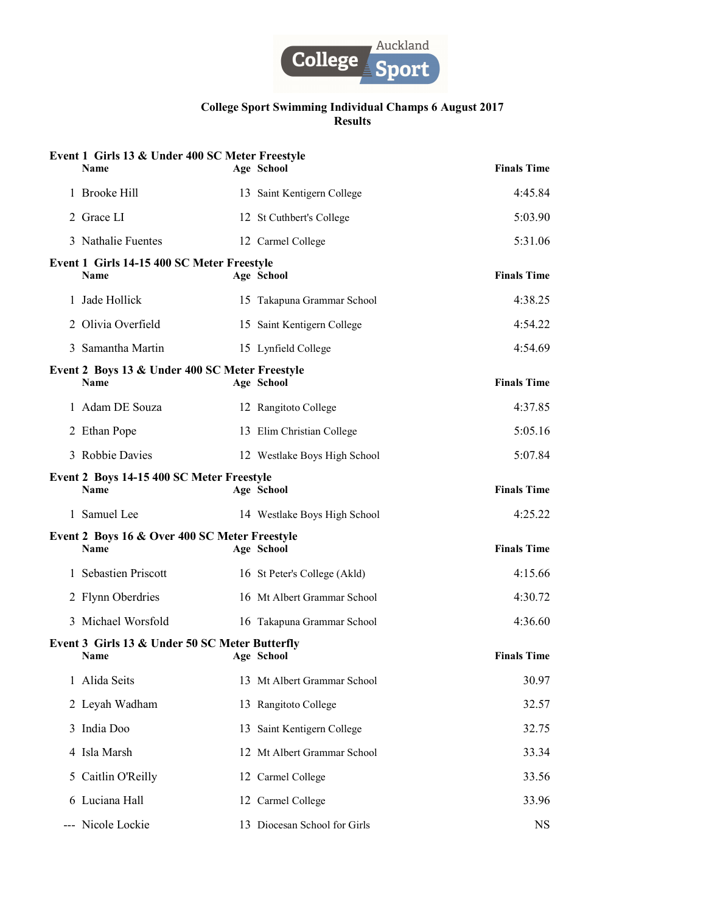

|       | Event 1 Girls 13 & Under 400 SC Meter Freestyle<br><b>Name</b> | Age School                   | <b>Finals Time</b> |
|-------|----------------------------------------------------------------|------------------------------|--------------------|
|       | 1 Brooke Hill                                                  | 13 Saint Kentigern College   | 4:45.84            |
|       | 2 Grace LI                                                     | 12 St Cuthbert's College     | 5:03.90            |
|       | 3 Nathalie Fuentes                                             | 12 Carmel College            | 5:31.06            |
|       | Event 1 Girls 14-15 400 SC Meter Freestyle<br><b>Name</b>      | Age School                   | <b>Finals Time</b> |
|       | 1 Jade Hollick                                                 | 15 Takapuna Grammar School   | 4:38.25            |
|       | 2 Olivia Overfield                                             | 15 Saint Kentigern College   | 4:54.22            |
|       | 3 Samantha Martin                                              | 15 Lynfield College          | 4:54.69            |
|       | Event 2 Boys 13 & Under 400 SC Meter Freestyle<br><b>Name</b>  | Age School                   | <b>Finals Time</b> |
|       | 1 Adam DE Souza                                                | 12 Rangitoto College         | 4:37.85            |
|       | 2 Ethan Pope                                                   | 13 Elim Christian College    | 5:05.16            |
|       | 3 Robbie Davies                                                | 12 Westlake Boys High School | 5:07.84            |
|       | Event 2 Boys 14-15 400 SC Meter Freestyle<br><b>Name</b>       | Age School                   | <b>Finals Time</b> |
|       | 1 Samuel Lee                                                   | 14 Westlake Boys High School | 4:25.22            |
|       | Event 2 Boys 16 & Over 400 SC Meter Freestyle<br><b>Name</b>   | Age School                   | <b>Finals Time</b> |
|       | 1 Sebastien Priscott                                           | 16 St Peter's College (Akld) | 4:15.66            |
|       | 2 Flynn Oberdries                                              | 16 Mt Albert Grammar School  | 4:30.72            |
|       | 3 Michael Worsfold                                             | 16 Takapuna Grammar School   | 4:36.60            |
|       | Event 3 Girls 13 & Under 50 SC Meter Butterfly<br>Name         | Age School                   | <b>Finals Time</b> |
|       | 1 Alida Seits                                                  | 13 Mt Albert Grammar School  | 30.97              |
|       | 2 Leyah Wadham                                                 | 13 Rangitoto College         | 32.57              |
| 3     | India Doo                                                      | 13 Saint Kentigern College   | 32.75              |
|       | 4 Isla Marsh                                                   | 12 Mt Albert Grammar School  | 33.34              |
|       | 5 Caitlin O'Reilly                                             | 12 Carmel College            | 33.56              |
|       | 6 Luciana Hall                                                 | 12 Carmel College            | 33.96              |
| $---$ | Nicole Lockie                                                  | 13 Diocesan School for Girls | <b>NS</b>          |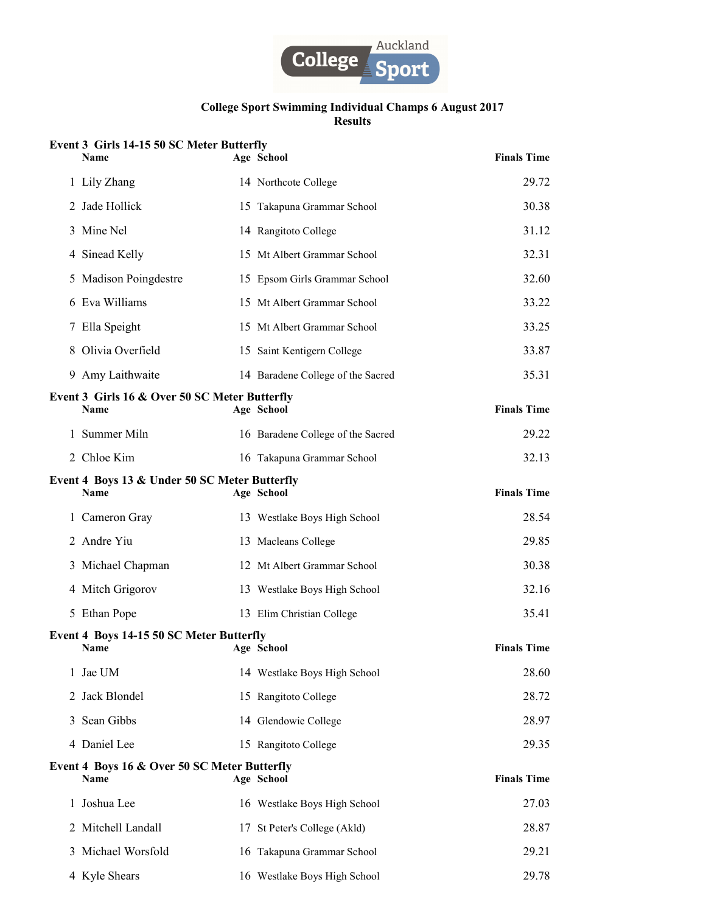

# Event 3 Girls 14-15 50 SC Meter Butterfly

| Name                                                    | Age School                        | <b>Finals Time</b> |
|---------------------------------------------------------|-----------------------------------|--------------------|
| 1 Lily Zhang                                            | 14 Northcote College              | 29.72              |
| 2 Jade Hollick                                          | 15 Takapuna Grammar School        | 30.38              |
| 3 Mine Nel                                              | 14 Rangitoto College              | 31.12              |
| 4 Sinead Kelly                                          | 15 Mt Albert Grammar School       | 32.31              |
| 5 Madison Poingdestre                                   | 15 Epsom Girls Grammar School     | 32.60              |
| 6 Eva Williams                                          | 15 Mt Albert Grammar School       | 33.22              |
| 7 Ella Speight                                          | 15 Mt Albert Grammar School       | 33.25              |
| 8 Olivia Overfield                                      | 15 Saint Kentigern College        | 33.87              |
| 9 Amy Laithwaite                                        | 14 Baradene College of the Sacred | 35.31              |
| Event 3 Girls 16 & Over 50 SC Meter Butterfly<br>Name   |                                   | <b>Finals Time</b> |
|                                                         | Age School                        |                    |
| 1 Summer Miln                                           | 16 Baradene College of the Sacred | 29.22              |
| 2 Chloe Kim                                             | 16 Takapuna Grammar School        | 32.13              |
| Event 4 Boys 13 & Under 50 SC Meter Butterfly<br>Name   | Age School                        | <b>Finals Time</b> |
| 1 Cameron Gray                                          | 13 Westlake Boys High School      | 28.54              |
| 2 Andre Yiu                                             | 13 Macleans College               | 29.85              |
| 3 Michael Chapman                                       | 12 Mt Albert Grammar School       | 30.38              |
| 4 Mitch Grigorov                                        | 13 Westlake Boys High School      | 32.16              |
| 5 Ethan Pope                                            | 13 Elim Christian College         | 35.41              |
| Event 4 Boys 14-15 50 SC Meter Butterfly<br><b>Name</b> | Age School                        | <b>Finals Time</b> |
| 1 Jae UM                                                | 14 Westlake Boys High School      | 28.60              |
| 2 Jack Blondel                                          | 15 Rangitoto College              | 28.72              |
| 3 Sean Gibbs                                            | 14 Glendowie College              | 28.97              |
| 4 Daniel Lee                                            | 15 Rangitoto College              | 29.35              |
| Event 4 Boys 16 & Over 50 SC Meter Butterfly<br>Name    | Age School                        | <b>Finals Time</b> |
| 1 Joshua Lee                                            | 16 Westlake Boys High School      | 27.03              |
| 2 Mitchell Landall                                      | 17 St Peter's College (Akld)      | 28.87              |
| 3 Michael Worsfold                                      | 16 Takapuna Grammar School        | 29.21              |
| 4 Kyle Shears                                           | 16 Westlake Boys High School      | 29.78              |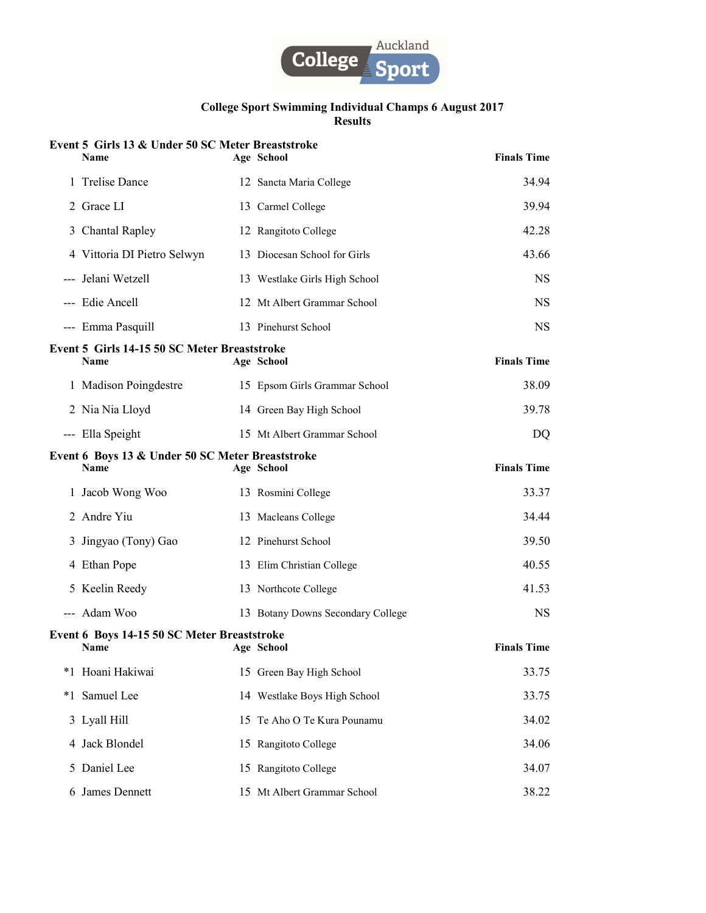

|   | Event 5 Girls 13 & Under 50 SC Meter Breaststroke<br><b>Name</b> | Age School                        | <b>Finals Time</b> |
|---|------------------------------------------------------------------|-----------------------------------|--------------------|
|   | 1 Trelise Dance                                                  | 12 Sancta Maria College           | 34.94              |
|   | 2 Grace LI                                                       | 13 Carmel College                 | 39.94              |
|   | 3 Chantal Rapley                                                 | 12 Rangitoto College              | 42.28              |
|   | 4 Vittoria DI Pietro Selwyn                                      | 13 Diocesan School for Girls      | 43.66              |
|   | --- Jelani Wetzell                                               | 13 Westlake Girls High School     | <b>NS</b>          |
|   | --- Edie Ancell                                                  | 12 Mt Albert Grammar School       | <b>NS</b>          |
|   | --- Emma Pasquill                                                | 13 Pinehurst School               | <b>NS</b>          |
|   | Event 5 Girls 14-15 50 SC Meter Breaststroke<br>Name             | Age School                        | <b>Finals Time</b> |
|   | 1 Madison Poingdestre                                            | 15 Epsom Girls Grammar School     | 38.09              |
|   | 2 Nia Nia Lloyd                                                  | 14 Green Bay High School          | 39.78              |
|   | --- Ella Speight                                                 | 15 Mt Albert Grammar School       | DQ                 |
|   | Event 6 Boys 13 & Under 50 SC Meter Breaststroke<br><b>Name</b>  | Age School                        | <b>Finals Time</b> |
|   | 1 Jacob Wong Woo                                                 | 13 Rosmini College                | 33.37              |
|   | 2 Andre Yiu                                                      | 13 Macleans College               | 34.44              |
|   | 3 Jingyao (Tony) Gao                                             | 12 Pinehurst School               | 39.50              |
|   | 4 Ethan Pope                                                     | 13 Elim Christian College         | 40.55              |
|   | 5 Keelin Reedy                                                   | 13 Northcote College              | 41.53              |
|   | --- Adam Woo                                                     | 13 Botany Downs Secondary College | <b>NS</b>          |
|   | Event 6 Boys 14-15 50 SC Meter Breaststroke<br>Name              | Age School                        | <b>Finals Time</b> |
|   | *1 Hoani Hakiwai                                                 | 15 Green Bay High School          | 33.75              |
|   | *1 Samuel Lee                                                    | 14 Westlake Boys High School      | 33.75              |
|   | 3 Lyall Hill                                                     | 15 Te Aho O Te Kura Pounamu       | 34.02              |
|   | 4 Jack Blondel                                                   | 15 Rangitoto College              | 34.06              |
| 5 | Daniel Lee                                                       | 15 Rangitoto College              | 34.07              |
|   | 6 James Dennett                                                  | 15 Mt Albert Grammar School       | 38.22              |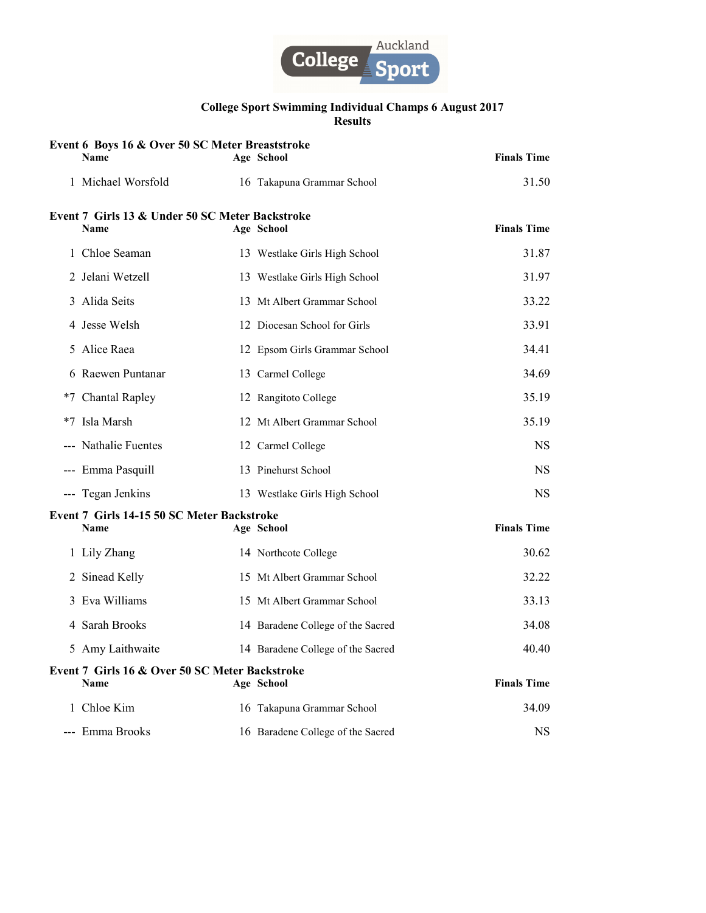

| Event 6 Boys 16 & Over 50 SC Meter Breaststroke<br><b>Name</b> | Age School                        | <b>Finals Time</b> |
|----------------------------------------------------------------|-----------------------------------|--------------------|
| 1 Michael Worsfold                                             | 16 Takapuna Grammar School        | 31.50              |
| Event 7 Girls 13 & Under 50 SC Meter Backstroke                |                                   |                    |
| Name                                                           | Age School                        | <b>Finals Time</b> |
| 1 Chloe Seaman                                                 | 13 Westlake Girls High School     | 31.87              |
| 2 Jelani Wetzell                                               | 13 Westlake Girls High School     | 31.97              |
| 3 Alida Seits                                                  | 13 Mt Albert Grammar School       | 33.22              |
| 4 Jesse Welsh                                                  | 12 Diocesan School for Girls      | 33.91              |
| 5 Alice Raea                                                   | 12 Epsom Girls Grammar School     | 34.41              |
| 6 Raewen Puntanar                                              | 13 Carmel College                 | 34.69              |
| *7 Chantal Rapley                                              | 12 Rangitoto College              | 35.19              |
| *7 Isla Marsh                                                  | 12 Mt Albert Grammar School       | 35.19              |
| --- Nathalie Fuentes                                           | 12 Carmel College                 | NS.                |
| --- Emma Pasquill                                              | 13 Pinehurst School               | NS.                |
| --- Tegan Jenkins                                              | 13 Westlake Girls High School     | NS.                |
| Event 7 Girls 14-15 50 SC Meter Backstroke<br><b>Name</b>      | Age School                        | <b>Finals Time</b> |
| 1 Lily Zhang                                                   | 14 Northcote College              | 30.62              |
| 2 Sinead Kelly                                                 | 15 Mt Albert Grammar School       | 32.22              |
| 3 Eva Williams                                                 | 15 Mt Albert Grammar School       | 33.13              |
| 4 Sarah Brooks                                                 | 14 Baradene College of the Sacred | 34.08              |
| 5 Amy Laithwaite                                               | 14 Baradene College of the Sacred | 40.40              |
| Event 7 Girls 16 & Over 50 SC Meter Backstroke<br><b>Name</b>  | Age School                        | <b>Finals Time</b> |
| 1 Chloe Kim                                                    | 16 Takapuna Grammar School        | 34.09              |
| --- Emma Brooks                                                | 16 Baradene College of the Sacred | <b>NS</b>          |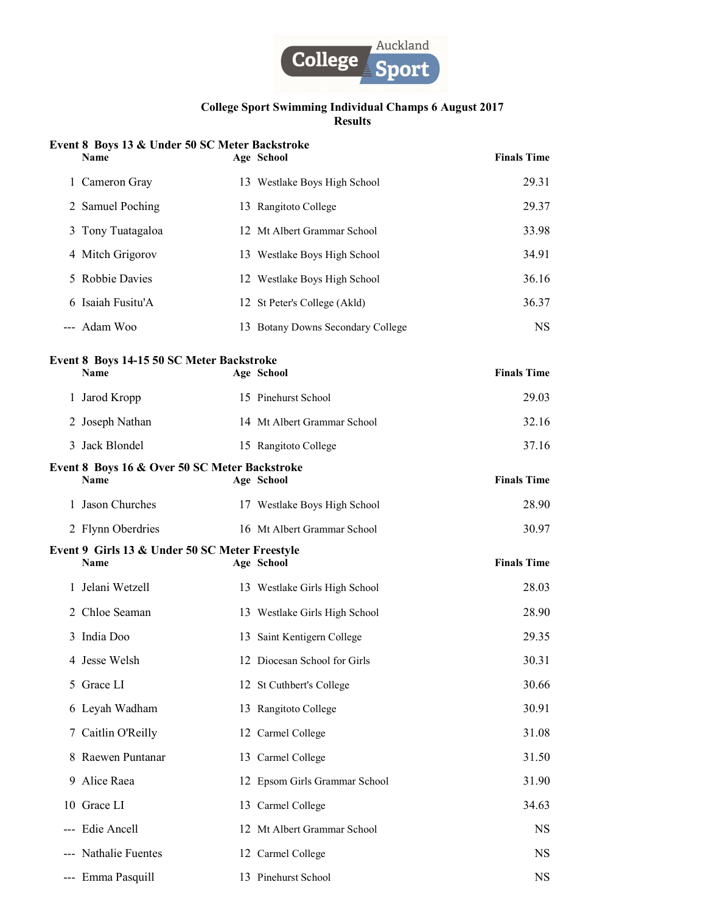

# Event 8 Boys 13 & Under 50 SC Meter Backstroke

|   | <b>Name</b>                                                     | Age School                        | <b>Finals Time</b> |
|---|-----------------------------------------------------------------|-----------------------------------|--------------------|
|   | 1 Cameron Gray                                                  | 13 Westlake Boys High School      | 29.31              |
|   | 2 Samuel Poching                                                | 13 Rangitoto College              | 29.37              |
|   | 3 Tony Tuatagaloa                                               | 12 Mt Albert Grammar School       | 33.98              |
|   | 4 Mitch Grigorov                                                | 13 Westlake Boys High School      | 34.91              |
|   | 5 Robbie Davies                                                 | 12 Westlake Boys High School      | 36.16              |
|   | 6 Isaiah Fusitu'A                                               | 12 St Peter's College (Akld)      | 36.37              |
|   | --- Adam Woo                                                    | 13 Botany Downs Secondary College | <b>NS</b>          |
|   | <b>Event 8 Boys 14-15 50 SC Meter Backstroke</b><br><b>Name</b> | Age School                        | <b>Finals Time</b> |
|   | 1 Jarod Kropp                                                   | 15 Pinehurst School               | 29.03              |
|   | 2 Joseph Nathan                                                 | 14 Mt Albert Grammar School       | 32.16              |
|   | 3 Jack Blondel                                                  | 15 Rangitoto College              | 37.16              |
|   | Event 8 Boys 16 & Over 50 SC Meter Backstroke<br><b>Name</b>    | Age School                        | <b>Finals Time</b> |
|   | 1 Jason Churches                                                | 17 Westlake Boys High School      | 28.90              |
|   | 2 Flynn Oberdries                                               | 16 Mt Albert Grammar School       | 30.97              |
|   | Event 9 Girls 13 & Under 50 SC Meter Freestyle<br><b>Name</b>   | Age School                        | <b>Finals Time</b> |
|   | 1 Jelani Wetzell                                                | 13 Westlake Girls High School     | 28.03              |
|   | 2 Chloe Seaman                                                  | 13 Westlake Girls High School     | 28.90              |
|   | 3 India Doo                                                     | 13 Saint Kentigern College        | 29.35              |
|   | 4 Jesse Welsh                                                   | 12 Diocesan School for Girls      | 30.31              |
|   | 5 Grace LI                                                      | 12 St Cuthbert's College          | 30.66              |
|   | 6 Leyah Wadham                                                  | 13 Rangitoto College              | 30.91              |
| 7 | Caitlin O'Reilly                                                | 12 Carmel College                 | 31.08              |
|   | 8 Raewen Puntanar                                               | 13 Carmel College                 | 31.50              |
|   | 9 Alice Raea                                                    | 12 Epsom Girls Grammar School     | 31.90              |
|   | 10 Grace LI                                                     | 13 Carmel College                 | 34.63              |
|   | --- Edie Ancell                                                 | 12 Mt Albert Grammar School       | <b>NS</b>          |
|   | --- Nathalie Fuentes                                            | 12 Carmel College                 | <b>NS</b>          |
|   | --- Emma Pasquill                                               | 13 Pinehurst School               | <b>NS</b>          |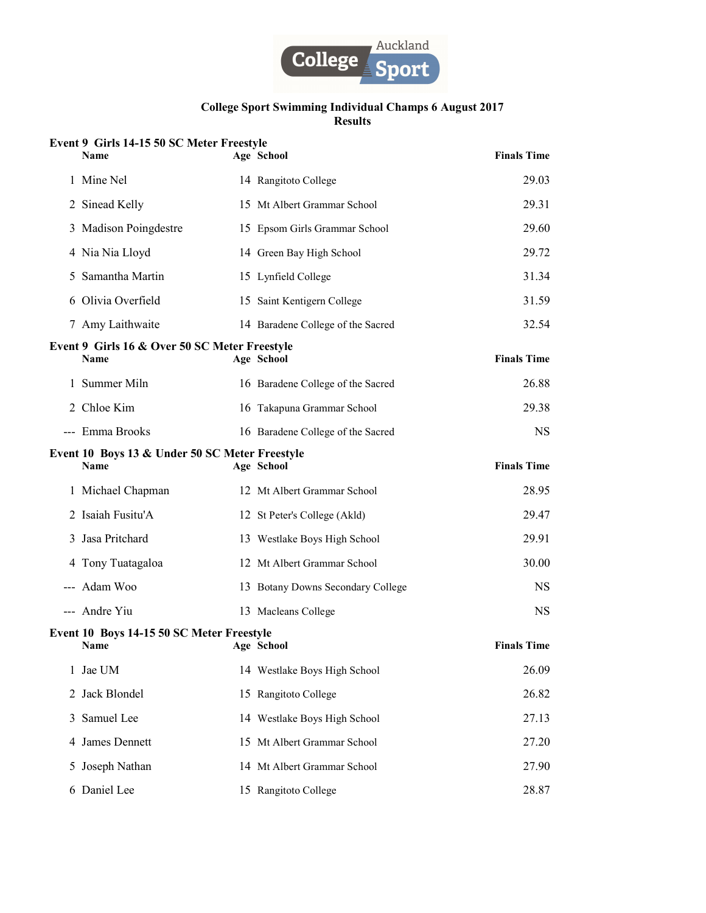

# Event 9 Girls 14-15 50 SC Meter Freestyle

| <b>Name</b>                                                   | Age School                        | <b>Finals Time</b> |
|---------------------------------------------------------------|-----------------------------------|--------------------|
| 1 Mine Nel                                                    | 14 Rangitoto College              | 29.03              |
| 2 Sinead Kelly                                                | 15 Mt Albert Grammar School       | 29.31              |
| 3 Madison Poingdestre                                         | 15 Epsom Girls Grammar School     | 29.60              |
| 4 Nia Nia Lloyd                                               | 14 Green Bay High School          | 29.72              |
| 5 Samantha Martin                                             | 15 Lynfield College               | 31.34              |
| 6 Olivia Overfield                                            | 15 Saint Kentigern College        | 31.59              |
| 7 Amy Laithwaite                                              | 14 Baradene College of the Sacred | 32.54              |
| Event 9 Girls 16 & Over 50 SC Meter Freestyle<br><b>Name</b>  | Age School                        | <b>Finals Time</b> |
| 1 Summer Miln                                                 | 16 Baradene College of the Sacred | 26.88              |
| 2 Chloe Kim                                                   | 16 Takapuna Grammar School        | 29.38              |
| --- Emma Brooks                                               | 16 Baradene College of the Sacred | <b>NS</b>          |
| Event 10 Boys 13 & Under 50 SC Meter Freestyle<br><b>Name</b> | Age School                        | <b>Finals Time</b> |
| 1 Michael Chapman                                             | 12 Mt Albert Grammar School       | 28.95              |
| 2 Isaiah Fusitu'A                                             | 12 St Peter's College (Akld)      | 29.47              |
| 3 Jasa Pritchard                                              | 13 Westlake Boys High School      | 29.91              |
| 4 Tony Tuatagaloa                                             | 12 Mt Albert Grammar School       | 30.00              |
| --- Adam Woo                                                  | 13 Botany Downs Secondary College | <b>NS</b>          |
| --- Andre Yiu                                                 | 13 Macleans College               | <b>NS</b>          |
| Event 10 Boys 14-15 50 SC Meter Freestyle<br><b>Name</b>      | Age School                        | <b>Finals Time</b> |
| 1 Jae UM                                                      | 14 Westlake Boys High School      | 26.09              |
| 2 Jack Blondel                                                | 15 Rangitoto College              | 26.82              |
| 3 Samuel Lee                                                  | 14 Westlake Boys High School      | 27.13              |
| 4 James Dennett                                               | 15 Mt Albert Grammar School       | 27.20              |
| 5 Joseph Nathan                                               | 14 Mt Albert Grammar School       | 27.90              |
| 6 Daniel Lee                                                  | 15 Rangitoto College              | 28.87              |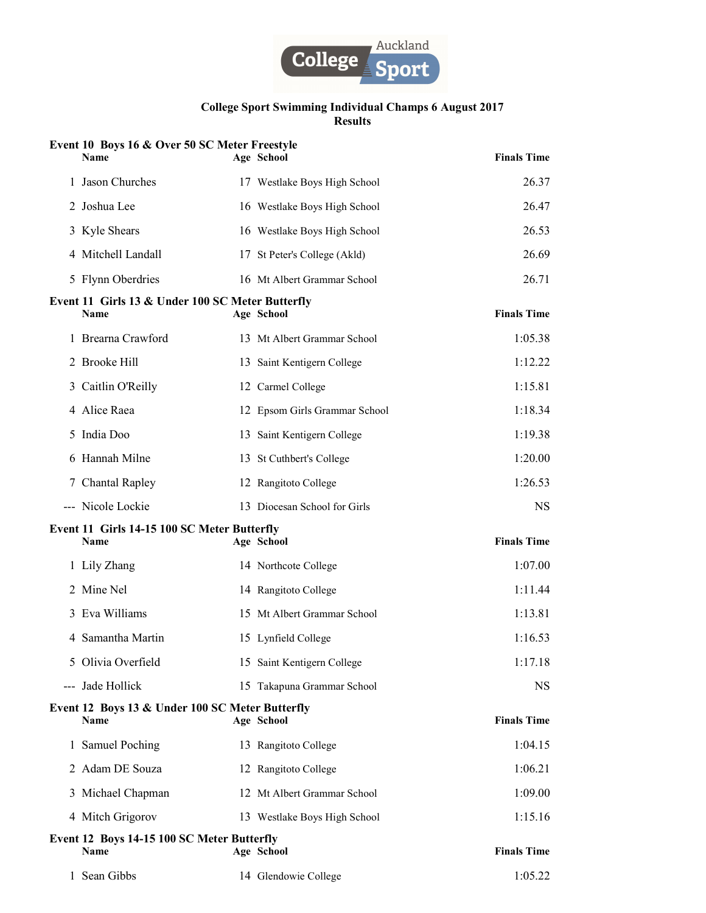

| Event 10 Boys 16 & Over 50 SC Meter Freestyle<br><b>Name</b>    | Age School                    | <b>Finals Time</b> |
|-----------------------------------------------------------------|-------------------------------|--------------------|
| 1 Jason Churches                                                | 17 Westlake Boys High School  | 26.37              |
| 2 Joshua Lee                                                    | 16 Westlake Boys High School  | 26.47              |
| 3 Kyle Shears                                                   | 16 Westlake Boys High School  | 26.53              |
| 4 Mitchell Landall                                              | 17 St Peter's College (Akld)  | 26.69              |
| 5 Flynn Oberdries                                               | 16 Mt Albert Grammar School   | 26.71              |
| Event 11 Girls 13 & Under 100 SC Meter Butterfly<br><b>Name</b> | Age School                    | <b>Finals Time</b> |
| 1 Brearna Crawford                                              | 13 Mt Albert Grammar School   | 1:05.38            |
| 2 Brooke Hill                                                   | 13 Saint Kentigern College    | 1:12.22            |
| 3 Caitlin O'Reilly                                              | 12 Carmel College             | 1:15.81            |
| 4 Alice Raea                                                    | 12 Epsom Girls Grammar School | 1:18.34            |
| 5 India Doo                                                     | 13 Saint Kentigern College    | 1:19.38            |
| 6 Hannah Milne                                                  | 13 St Cuthbert's College      | 1:20.00            |
| 7 Chantal Rapley                                                | 12 Rangitoto College          | 1:26.53            |
| --- Nicole Lockie                                               | 13 Diocesan School for Girls  | <b>NS</b>          |
| Event 11 Girls 14-15 100 SC Meter Butterfly<br>Name             | Age School                    | <b>Finals Time</b> |
| 1 Lily Zhang                                                    | 14 Northcote College          | 1:07.00            |
| 2 Mine Nel                                                      | 14 Rangitoto College          | 1:11.44            |
| 3 Eva Williams                                                  | 15 Mt Albert Grammar School   | 1:13.81            |
| 4 Samantha Martin                                               | 15 Lynfield College           | 1:16.53            |
| 5 Olivia Overfield                                              | 15 Saint Kentigern College    | 1:17.18            |
| --- Jade Hollick                                                | 15 Takapuna Grammar School    | NS.                |
| Event 12 Boys 13 & Under 100 SC Meter Butterfly<br>Name         | Age School                    | <b>Finals Time</b> |
| 1 Samuel Poching                                                | 13 Rangitoto College          | 1:04.15            |
| 2 Adam DE Souza                                                 | 12 Rangitoto College          | 1:06.21            |
| 3 Michael Chapman                                               | 12 Mt Albert Grammar School   | 1:09.00            |
| 4 Mitch Grigorov                                                | 13 Westlake Boys High School  | 1:15.16            |
| Event 12 Boys 14-15 100 SC Meter Butterfly<br>Name              | Age School                    | <b>Finals Time</b> |
|                                                                 |                               |                    |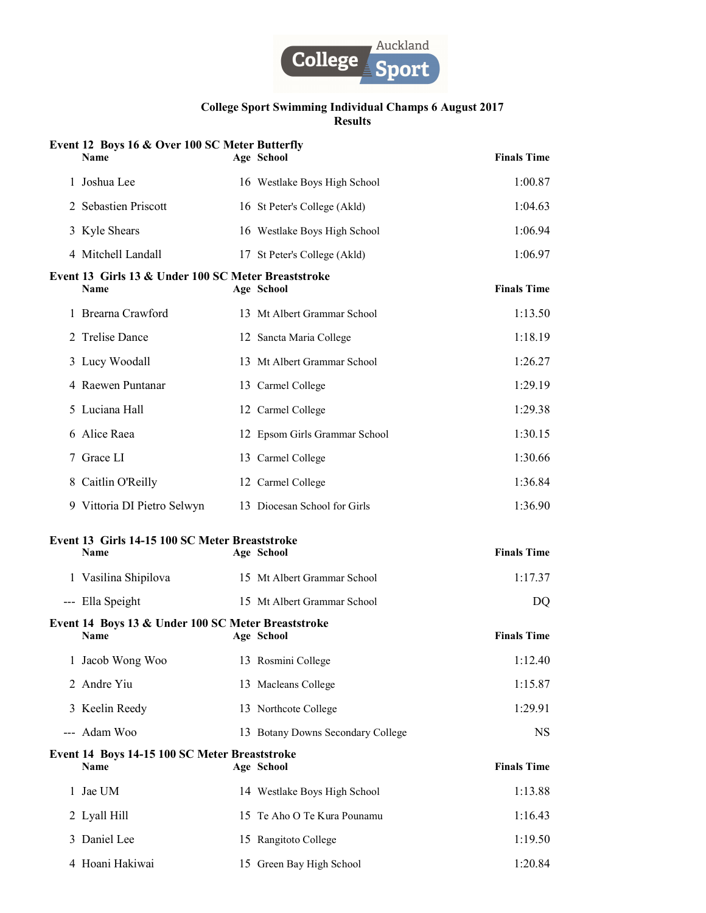

|     | Event 12 Boys 16 & Over 100 SC Meter Butterfly<br><b>Name</b>     | Age School                        | <b>Finals Time</b> |
|-----|-------------------------------------------------------------------|-----------------------------------|--------------------|
|     | 1 Joshua Lee                                                      | 16 Westlake Boys High School      | 1:00.87            |
|     | 2 Sebastien Priscott                                              | 16 St Peter's College (Akld)      | 1:04.63            |
|     | 3 Kyle Shears                                                     | 16 Westlake Boys High School      | 1:06.94            |
|     | 4 Mitchell Landall                                                | 17 St Peter's College (Akld)      | 1:06.97            |
|     | Event 13 Girls 13 & Under 100 SC Meter Breaststroke<br>Name       | Age School                        | <b>Finals Time</b> |
|     | 1 Brearna Crawford                                                | 13 Mt Albert Grammar School       | 1:13.50            |
|     | 2 Trelise Dance                                                   | 12 Sancta Maria College           | 1:18.19            |
|     | 3 Lucy Woodall                                                    | 13 Mt Albert Grammar School       | 1:26.27            |
|     | 4 Raewen Puntanar                                                 | 13 Carmel College                 | 1:29.19            |
|     | 5 Luciana Hall                                                    | 12 Carmel College                 | 1:29.38            |
|     | 6 Alice Raea                                                      | 12 Epsom Girls Grammar School     | 1:30.15            |
|     | 7 Grace LI                                                        | 13 Carmel College                 | 1:30.66            |
|     | 8 Caitlin O'Reilly                                                | 12 Carmel College                 | 1:36.84            |
|     | 9 Vittoria DI Pietro Selwyn                                       | 13 Diocesan School for Girls      | 1:36.90            |
|     | Event 13 Girls 14-15 100 SC Meter Breaststroke<br><b>Name</b>     | Age School                        | <b>Finals Time</b> |
|     | 1 Vasilina Shipilova                                              | 15 Mt Albert Grammar School       | 1:17.37            |
|     | --- Ella Speight                                                  | 15 Mt Albert Grammar School       | DQ                 |
|     | Event 14 Boys 13 & Under 100 SC Meter Breaststroke<br><b>Name</b> | Age School                        | <b>Finals Time</b> |
|     | 1 Jacob Wong Woo                                                  | 13 Rosmini College                | 1:12.40            |
|     | 2 Andre Yiu                                                       | 13 Macleans College               | 1:15.87            |
|     | 3 Keelin Reedy                                                    | 13 Northcote College              | 1:29.91            |
| --- | Adam Woo                                                          | 13 Botany Downs Secondary College | <b>NS</b>          |
|     | Event 14 Boys 14-15 100 SC Meter Breaststroke<br>Name             | Age School                        | <b>Finals Time</b> |
|     | 1 Jae UM                                                          | 14 Westlake Boys High School      | 1:13.88            |
|     | 2 Lyall Hill                                                      | 15 Te Aho O Te Kura Pounamu       | 1:16.43            |
|     | 3 Daniel Lee                                                      | 15 Rangitoto College              | 1:19.50            |
|     | 4 Hoani Hakiwai                                                   | 15 Green Bay High School          | 1:20.84            |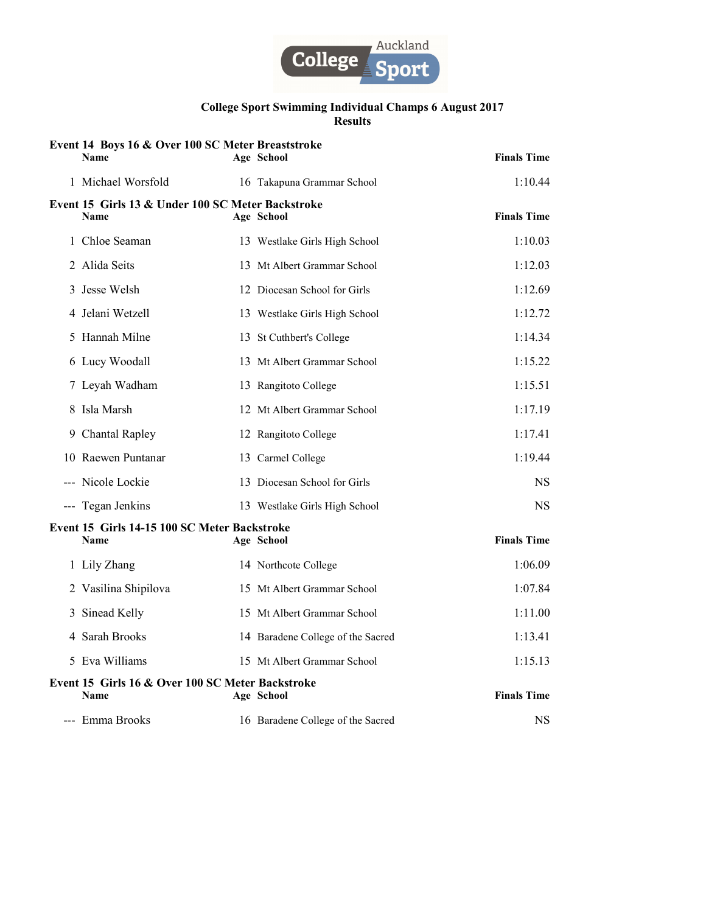

|   | Event 14 Boys 16 & Over 100 SC Meter Breaststroke<br><b>Name</b> | Age School                        | <b>Finals Time</b> |
|---|------------------------------------------------------------------|-----------------------------------|--------------------|
|   | 1 Michael Worsfold                                               | 16 Takapuna Grammar School        | 1:10.44            |
|   | Event 15 Girls 13 & Under 100 SC Meter Backstroke<br><b>Name</b> | Age School                        | <b>Finals Time</b> |
|   | 1 Chloe Seaman                                                   | 13 Westlake Girls High School     | 1:10.03            |
|   | 2 Alida Seits                                                    | 13 Mt Albert Grammar School       | 1:12.03            |
| 3 | Jesse Welsh                                                      | 12 Diocesan School for Girls      | 1:12.69            |
|   | 4 Jelani Wetzell                                                 | 13 Westlake Girls High School     | 1:12.72            |
| 5 | Hannah Milne                                                     | 13 St Cuthbert's College          | 1:14.34            |
|   | 6 Lucy Woodall                                                   | 13 Mt Albert Grammar School       | 1:15.22            |
|   | 7 Leyah Wadham                                                   | 13 Rangitoto College              | 1:15.51            |
|   | 8 Isla Marsh                                                     | 12 Mt Albert Grammar School       | 1:17.19            |
|   | 9 Chantal Rapley                                                 | 12 Rangitoto College              | 1:17.41            |
|   | 10 Raewen Puntanar                                               | 13 Carmel College                 | 1:19.44            |
|   | --- Nicole Lockie                                                | 13 Diocesan School for Girls      | NS.                |
|   | --- Tegan Jenkins                                                | 13 Westlake Girls High School     | <b>NS</b>          |
|   | Event 15 Girls 14-15 100 SC Meter Backstroke<br><b>Name</b>      | Age School                        | <b>Finals Time</b> |
|   | 1 Lily Zhang                                                     | 14 Northcote College              | 1:06.09            |
|   | 2 Vasilina Shipilova                                             | 15 Mt Albert Grammar School       | 1:07.84            |
|   | 3 Sinead Kelly                                                   | 15 Mt Albert Grammar School       | 1:11.00            |
|   | 4 Sarah Brooks                                                   | 14 Baradene College of the Sacred | 1:13.41            |
|   | 5 Eva Williams                                                   | 15 Mt Albert Grammar School       | 1:15.13            |
|   | Event 15 Girls 16 & Over 100 SC Meter Backstroke<br><b>Name</b>  | Age School                        | <b>Finals Time</b> |
|   | --- Emma Brooks                                                  | 16 Baradene College of the Sacred | <b>NS</b>          |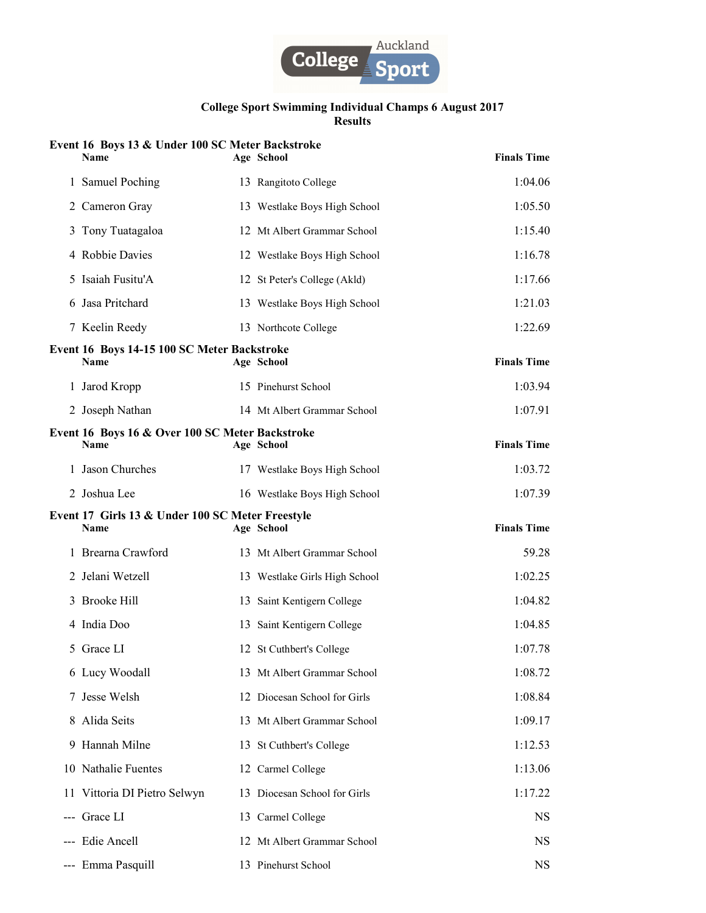

# Event 16 Boys 13 & Under 100 SC Meter Backstroke

| Name                                                            | Age School                    | <b>Finals Time</b> |
|-----------------------------------------------------------------|-------------------------------|--------------------|
| 1 Samuel Poching                                                | 13 Rangitoto College          | 1:04.06            |
| 2 Cameron Gray                                                  | 13 Westlake Boys High School  | 1:05.50            |
| 3 Tony Tuatagaloa                                               | 12 Mt Albert Grammar School   | 1:15.40            |
| 4 Robbie Davies                                                 | 12 Westlake Boys High School  | 1:16.78            |
| 5 Isaiah Fusitu'A                                               | 12 St Peter's College (Akld)  | 1:17.66            |
| 6 Jasa Pritchard                                                | 13 Westlake Boys High School  | 1:21.03            |
| 7 Keelin Reedy                                                  | 13 Northcote College          | 1:22.69            |
| Event 16 Boys 14-15 100 SC Meter Backstroke<br><b>Name</b>      | Age School                    | <b>Finals Time</b> |
| 1 Jarod Kropp                                                   | 15 Pinehurst School           | 1:03.94            |
| 2 Joseph Nathan                                                 | 14 Mt Albert Grammar School   | 1:07.91            |
| Event 16 Boys 16 & Over 100 SC Meter Backstroke<br><b>Name</b>  | Age School                    | <b>Finals Time</b> |
| 1 Jason Churches                                                | 17 Westlake Boys High School  | 1:03.72            |
| 2 Joshua Lee                                                    | 16 Westlake Boys High School  | 1:07.39            |
|                                                                 |                               |                    |
| Event 17 Girls 13 & Under 100 SC Meter Freestyle<br><b>Name</b> | Age School                    | <b>Finals Time</b> |
| 1 Brearna Crawford                                              | 13 Mt Albert Grammar School   | 59.28              |
| 2 Jelani Wetzell                                                | 13 Westlake Girls High School | 1:02.25            |
| 3 Brooke Hill                                                   | 13 Saint Kentigern College    | 1:04.82            |
| 4 India Doo                                                     | 13 Saint Kentigern College    | 1:04.85            |
| 5 Grace LI                                                      | 12 St Cuthbert's College      | 1:07.78            |
| 6 Lucy Woodall                                                  | 13 Mt Albert Grammar School   | 1:08.72            |
| 7 Jesse Welsh                                                   | 12 Diocesan School for Girls  | 1:08.84            |
| 8 Alida Seits                                                   | 13 Mt Albert Grammar School   | 1:09.17            |
| 9 Hannah Milne                                                  | 13 St Cuthbert's College      | 1:12.53            |
| 10 Nathalie Fuentes                                             | 12 Carmel College             | 1:13.06            |
| 11 Vittoria DI Pietro Selwyn                                    | 13 Diocesan School for Girls  | 1:17.22            |
| --- Grace LI                                                    | 13 Carmel College             | NS.                |
| --- Edie Ancell                                                 | 12 Mt Albert Grammar School   | <b>NS</b>          |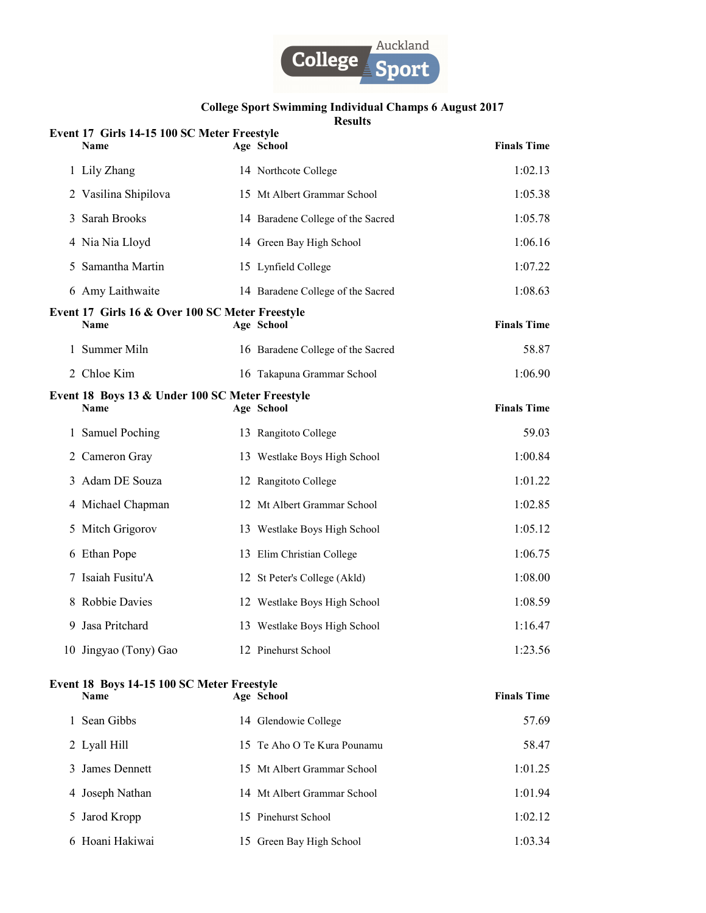

# College Sport Swimming Individual Champs 6 August 2017

Results

|   | Event 17 Girls 14-15 100 SC Meter Freestyle<br><b>Name</b>     | Age School                        | <b>Finals Time</b> |
|---|----------------------------------------------------------------|-----------------------------------|--------------------|
|   | 1 Lily Zhang                                                   | 14 Northcote College              | 1:02.13            |
|   | 2 Vasilina Shipilova                                           | 15 Mt Albert Grammar School       | 1:05.38            |
|   | 3 Sarah Brooks                                                 | 14 Baradene College of the Sacred | 1:05.78            |
|   | 4 Nia Nia Lloyd                                                | 14 Green Bay High School          | 1:06.16            |
| 5 | Samantha Martin                                                | 15 Lynfield College               | 1:07.22            |
|   | 6 Amy Laithwaite                                               | 14 Baradene College of the Sacred | 1:08.63            |
|   | Event 17 Girls 16 & Over 100 SC Meter Freestyle<br><b>Name</b> | Age School                        | <b>Finals Time</b> |
|   | 1 Summer Miln                                                  | 16 Baradene College of the Sacred | 58.87              |
|   | 2 Chloe Kim                                                    | 16 Takapuna Grammar School        | 1:06.90            |
|   | Event 18 Boys 13 & Under 100 SC Meter Freestyle<br><b>Name</b> | Age School                        | <b>Finals Time</b> |
|   | 1 Samuel Poching                                               | 13 Rangitoto College              | 59.03              |
|   | 2 Cameron Gray                                                 | 13 Westlake Boys High School      | 1:00.84            |
|   | 3 Adam DE Souza                                                | 12 Rangitoto College              | 1:01.22            |
|   | 4 Michael Chapman                                              | 12 Mt Albert Grammar School       | 1:02.85            |
|   | 5 Mitch Grigorov                                               | 13 Westlake Boys High School      | 1:05.12            |
|   | 6 Ethan Pope                                                   | 13 Elim Christian College         | 1:06.75            |
|   | 7 Isaiah Fusitu'A                                              | 12 St Peter's College (Akld)      | 1:08.00            |
|   | 8 Robbie Davies                                                | 12 Westlake Boys High School      | 1:08.59            |
| 9 | Jasa Pritchard                                                 | 13 Westlake Boys High School      | 1:16.47            |
|   | 10 Jingyao (Tony) Gao                                          | 12 Pinehurst School               | 1:23.56            |
|   | Event 18 Boys 14-15 100 SC Meter Freestyle<br>Name             | Age School                        | <b>Finals Time</b> |
|   | 1 Sean Gibbs                                                   | 14 Glendowie College              | 57.69              |
|   | 2 Lyall Hill                                                   | 15 Te Aho O Te Kura Pounamu       | 58.47              |
|   | 3 James Dennett                                                | 15 Mt Albert Grammar School       | 1:01.25            |
|   | 4 Joseph Nathan                                                | 14 Mt Albert Grammar School       | 1:01.94            |
| 5 | Jarod Kropp                                                    | 15 Pinehurst School               | 1:02.12            |
|   | 6 Hoani Hakiwai                                                | 15 Green Bay High School          | 1:03.34            |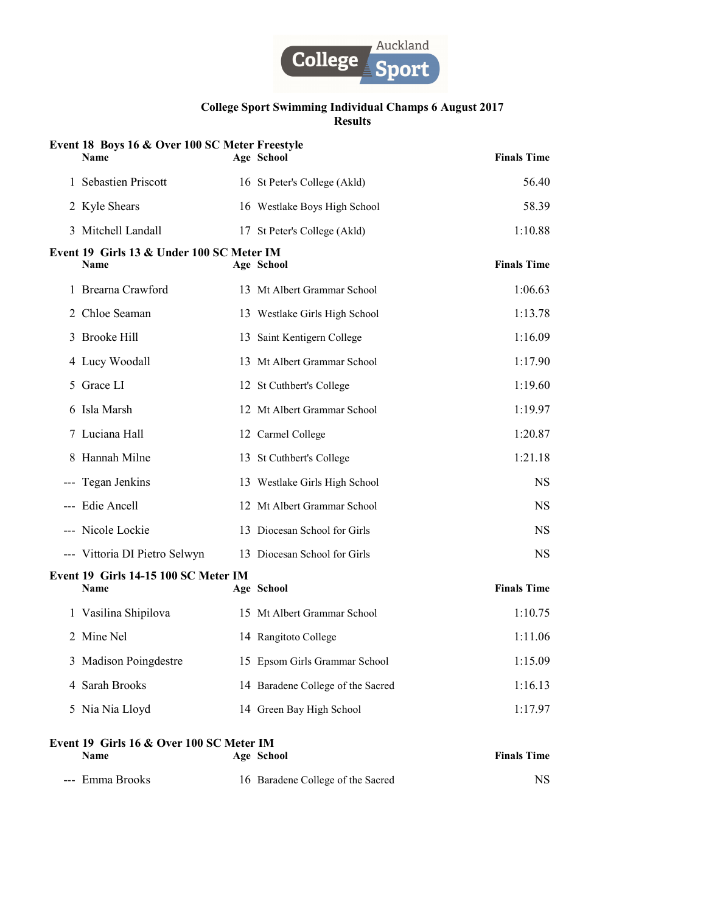

| Event 18 Boys 16 & Over 100 SC Meter Freestyle<br><b>Name</b> | Age School                        | <b>Finals Time</b> |
|---------------------------------------------------------------|-----------------------------------|--------------------|
| 1 Sebastien Priscott                                          | 16 St Peter's College (Akld)      | 56.40              |
| 2 Kyle Shears                                                 | 16 Westlake Boys High School      | 58.39              |
| 3 Mitchell Landall                                            | 17 St Peter's College (Akld)      | 1:10.88            |
| Event 19 Girls 13 & Under 100 SC Meter IM<br><b>Name</b>      | Age School                        | <b>Finals Time</b> |
| 1 Brearna Crawford                                            | 13 Mt Albert Grammar School       | 1:06.63            |
| 2 Chloe Seaman                                                | 13 Westlake Girls High School     | 1:13.78            |
| 3 Brooke Hill                                                 | 13 Saint Kentigern College        | 1:16.09            |
| 4 Lucy Woodall                                                | 13 Mt Albert Grammar School       | 1:17.90            |
| 5 Grace LI                                                    | 12 St Cuthbert's College          | 1:19.60            |
| 6 Isla Marsh                                                  | 12 Mt Albert Grammar School       | 1:19.97            |
| 7 Luciana Hall                                                | 12 Carmel College                 | 1:20.87            |
| 8 Hannah Milne                                                | 13 St Cuthbert's College          | 1:21.18            |
| --- Tegan Jenkins                                             | 13 Westlake Girls High School     | <b>NS</b>          |
| --- Edie Ancell                                               | 12 Mt Albert Grammar School       | <b>NS</b>          |
| --- Nicole Lockie                                             | 13 Diocesan School for Girls      | <b>NS</b>          |
| --- Vittoria DI Pietro Selwyn                                 | 13 Diocesan School for Girls      | <b>NS</b>          |
| Event 19 Girls 14-15 100 SC Meter IM<br><b>Name</b>           | Age School                        | <b>Finals Time</b> |
| 1 Vasilina Shipilova                                          | 15 Mt Albert Grammar School       | 1:10.75            |
| 2 Mine Nel                                                    | 14 Rangitoto College              | 1:11.06            |
| 3 Madison Poingdestre                                         | 15 Epsom Girls Grammar School     | 1:15.09            |
| 4 Sarah Brooks                                                | 14 Baradene College of the Sacred | 1:16.13            |
| 5 Nia Nia Lloyd                                               | 14 Green Bay High School          | 1:17.97            |
| Event 19 Girls 16 & Over 100 SC Meter IM<br>Name              | Age School                        | <b>Finals Time</b> |
| --- Emma Brooks                                               | 16 Baradene College of the Sacred | NS.                |